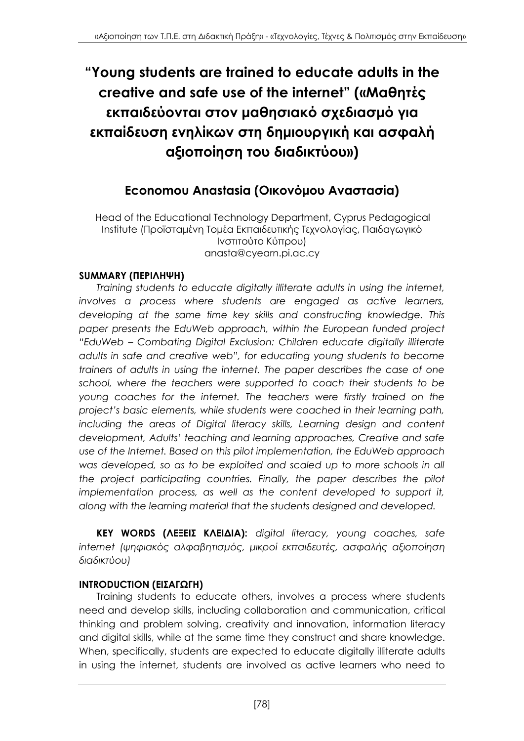# **"Young students are trained to educate adults in the creative and safe use of the internet" («Μαθητές εκπαιδεύονται στον μαθησιακό σχεδιασμό για εκπαίδευση ενηλίκων στη δημιουργική και ασφαλή αξιοποίηση του διαδικτύου»)**

## **Economou Anastasia (Οικονόμου Αναστασία)**

Head of the Educational Technology Department, Cyprus Pedagogical Institute (Προϊσταμένη Τομέα Εκπαιδευτικής Τεχνολογίας, Παιδαγωγικό Ινστιτούτο Κύπρου) anasta@cyearn.pi.ac.cy

### **SUMMARY (ΠΕΡΙΛΗΨΗ)**

*Training students to educate digitally illiterate adults in using the internet, involves a process where students are engaged as active learners, developing at the same time key skills and constructing knowledge. This paper presents the EduWeb approach, within the European funded project "EduWeb – Combating Digital Exclusion: Children educate digitally illiterate adults in safe and creative web", for educating young students to become trainers of adults in using the internet. The paper describes the case of one school, where the teachers were supported to coach their students to be young coaches for the internet. The teachers were firstly trained on the project's basic elements, while students were coached in their learning path,*  including the areas of Digital literacy skills, Learning design and content *development, Adults' teaching and learning approaches, Creative and safe use of the Internet. Based on this pilot implementation, the EduWeb approach was developed, so as to be exploited and scaled up to more schools in all the project participating countries. Finally, the paper describes the pilot implementation process, as well as the content developed to support it, along with the learning material that the students designed and developed.*

**KEY WORDS (ΛΕΞΕΙΣ ΚΛΕΙΔΙΑ):** *digital literacy, young coaches, safe internet (ψηφιακός αλφαβητισμός, μικροί εκπαιδευτές, ασφαλής αξιοποίηση διαδικτύου)*

#### **INTRODUCTION (ΕΙΣΑΓΩΓΗ)**

Training students to educate others, involves a process where students need and develop skills, including collaboration and communication, critical thinking and problem solving, creativity and innovation, information literacy and digital skills, while at the same time they construct and share knowledge. When, specifically, students are expected to educate digitally illiterate adults in using the internet, students are involved as active learners who need to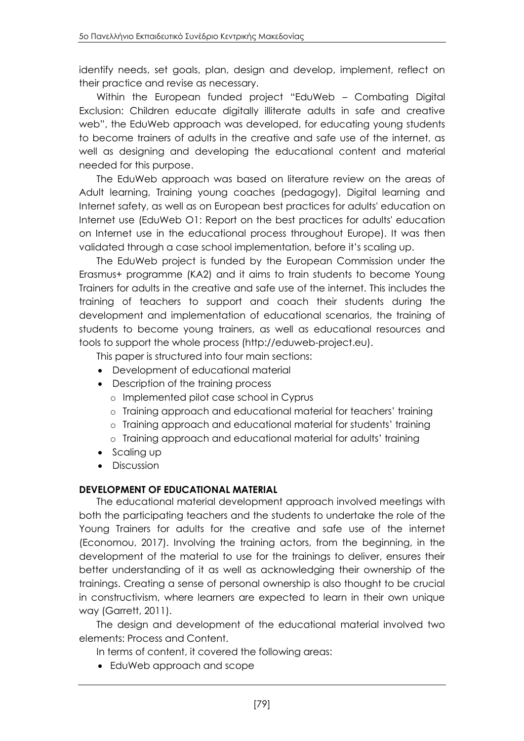identify needs, set goals, plan, design and develop, implement, reflect on their practice and revise as necessary.

Within the European funded project "EduWeb – Combating Digital Exclusion: Children educate digitally illiterate adults in safe and creative web", the EduWeb approach was developed, for educating young students to become trainers of adults in the creative and safe use of the internet, as well as designing and developing the educational content and material needed for this purpose.

The EduWeb approach was based on literature review on the areas of Adult learning, Training young coaches (pedagogy), Digital learning and Internet safety, as well as on European best practices for adults' education on Internet use (EduWeb O1: Report on the best practices for adults' education on Internet use in the educational process throughout Europe). It was then validated through a case school implementation, before it's scaling up.

The EduWeb project is funded by the European Commission under the Erasmus+ programme (KA2) and it aims to train students to become Young Trainers for adults in the creative and safe use of the internet. This includes the training of teachers to support and coach their students during the development and implementation of educational scenarios, the training of students to become young trainers, as well as educational resources and tools to support the whole process (http://eduweb-project.eu).

This paper is structured into four main sections:

- Development of educational material
- Description of the training process
	- o Implemented pilot case school in Cyprus
	- o Training approach and educational material for teachers' training
	- o Training approach and educational material for students' training
	- o Training approach and educational material for adults' training
- Scaling up
- Discussion

## **DEVELOPMENT OF EDUCATIONAL MATERIAL**

The educational material development approach involved meetings with both the participating teachers and the students to undertake the role of the Young Trainers for adults for the creative and safe use of the internet (Economou, 2017). Involving the training actors, from the beginning, in the development of the material to use for the trainings to deliver, ensures their better understanding of it as well as acknowledging their ownership of the trainings. Creating a sense of personal ownership is also thought to be crucial in constructivism, where learners are expected to learn in their own unique way (Garrett, 2011).

The design and development of the educational material involved two elements: Process and Content.

In terms of content, it covered the following areas:

• EduWeb approach and scope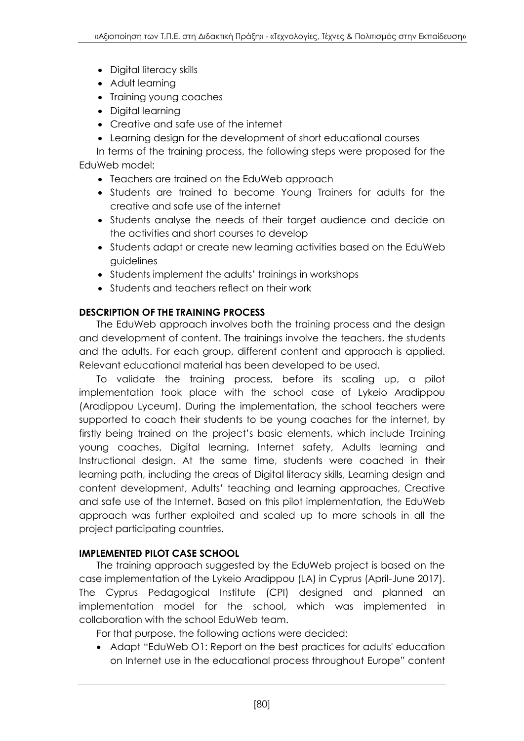- Digital literacy skills
- Adult learning
- Training young coaches
- Digital learning
- Creative and safe use of the internet
- Learning design for the development of short educational courses
- In terms of the training process, the following steps were proposed for the EduWeb model:
	- Teachers are trained on the EduWeb approach
	- Students are trained to become Young Trainers for adults for the creative and safe use of the internet
	- Students analyse the needs of their target audience and decide on the activities and short courses to develop
	- Students adapt or create new learning activities based on the EduWeb guidelines
	- Students implement the adults' trainings in workshops
	- Students and teachers reflect on their work

## **DESCRIPTION OF THE TRAINING PROCESS**

The EduWeb approach involves both the training process and the design and development of content. The trainings involve the teachers, the students and the adults. For each group, different content and approach is applied. Relevant educational material has been developed to be used.

To validate the training process, before its scaling up, a pilot implementation took place with the school case of Lykeio Aradippou (Aradippou Lyceum). During the implementation, the school teachers were supported to coach their students to be young coaches for the internet, by firstly being trained on the project's basic elements, which include Training young coaches, Digital learning, Internet safety, Adults learning and Instructional design. At the same time, students were coached in their learning path, including the areas of Digital literacy skills, Learning design and content development, Adults' teaching and learning approaches, Creative and safe use of the Internet. Based on this pilot implementation, the EduWeb approach was further exploited and scaled up to more schools in all the project participating countries.

## **IMPLEMENTED PILOT CASE SCHOOL**

The training approach suggested by the EduWeb project is based on the case implementation of the Lykeio Aradippou (LA) in Cyprus (April-June 2017). The Cyprus Pedagogical Institute (CPI) designed and planned an implementation model for the school, which was implemented in collaboration with the school EduWeb team.

For that purpose, the following actions were decided:

 Adapt "EduWeb O1: Report on the best practices for adults' education on Internet use in the educational process throughout Europe" content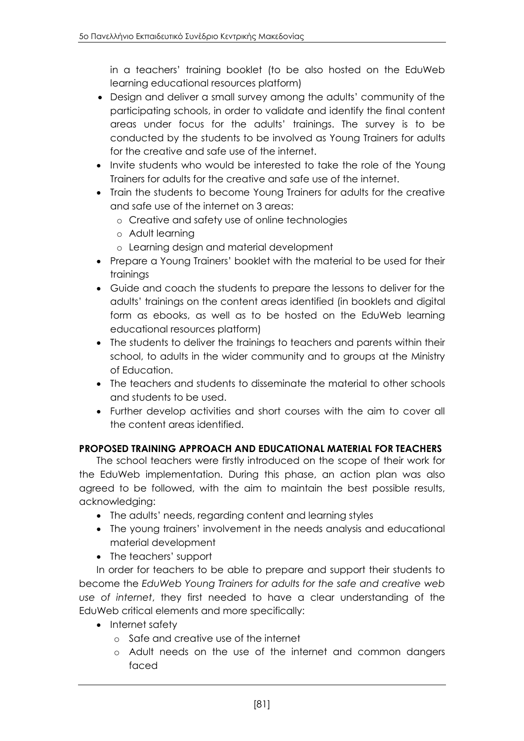in a teachers' training booklet (to be also hosted on the EduWeb learning educational resources platform)

- Design and deliver a small survey among the adults' community of the participating schools, in order to validate and identify the final content areas under focus for the adults' trainings. The survey is to be conducted by the students to be involved as Young Trainers for adults for the creative and safe use of the internet.
- Invite students who would be interested to take the role of the Young Trainers for adults for the creative and safe use of the internet.
- Train the students to become Young Trainers for adults for the creative and safe use of the internet on 3 areas:
	- o Creative and safety use of online technologies
	- o Adult learning
	- o Learning design and material development
- Prepare a Young Trainers' booklet with the material to be used for their trainings
- Guide and coach the students to prepare the lessons to deliver for the adults' trainings on the content areas identified (in booklets and digital form as ebooks, as well as to be hosted on the EduWeb learning educational resources platform)
- The students to deliver the trainings to teachers and parents within their school, to adults in the wider community and to groups at the Ministry of Education.
- The teachers and students to disseminate the material to other schools and students to be used.
- Further develop activities and short courses with the aim to cover all the content areas identified.

#### **PROPOSED TRAINING APPROACH AND EDUCATIONAL MATERIAL FOR TEACHERS**

The school teachers were firstly introduced on the scope of their work for the EduWeb implementation. During this phase, an action plan was also agreed to be followed, with the aim to maintain the best possible results, acknowledging:

- The adults' needs, regarding content and learning styles
- The young trainers' involvement in the needs analysis and educational material development
- The teachers' support

In order for teachers to be able to prepare and support their students to become the *EduWeb Young Trainers for adults for the safe and creative web use of internet*, they first needed to have a clear understanding of the EduWeb critical elements and more specifically:

- Internet safety
	- o Safe and creative use of the internet
	- o Adult needs on the use of the internet and common dangers faced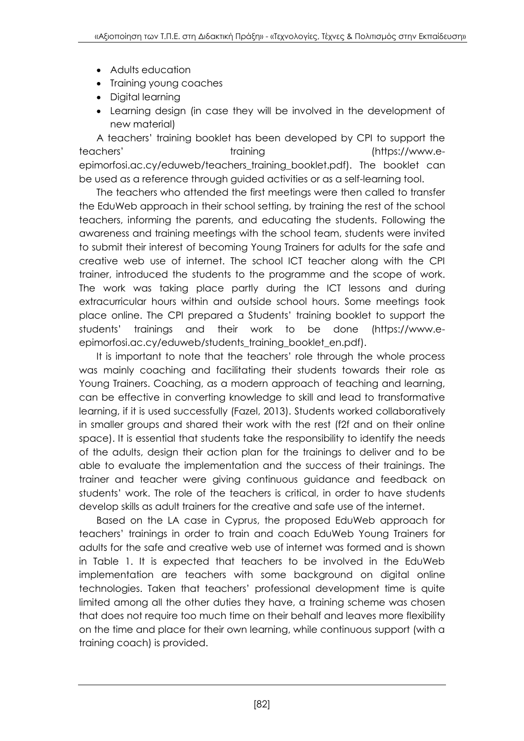- Adults education
- Training young coaches
- Digital learning
- Learning design (in case they will be involved in the development of new material)

A teachers' training booklet has been developed by CPI to support the teachers' training (https://www.eepimorfosi.ac.cy/eduweb/teachers\_training\_booklet.pdf). The booklet can be used as a reference through guided activities or as a self-learning tool.

The teachers who attended the first meetings were then called to transfer the EduWeb approach in their school setting, by training the rest of the school teachers, informing the parents, and educating the students. Following the awareness and training meetings with the school team, students were invited to submit their interest of becoming Young Trainers for adults for the safe and creative web use of internet. The school ICT teacher along with the CPI trainer, introduced the students to the programme and the scope of work. The work was taking place partly during the ICT lessons and during extracurricular hours within and outside school hours. Some meetings took place online. The CPI prepared a Students' training booklet to support the students' trainings and their work to be done (https://www.eepimorfosi.ac.cy/eduweb/students\_training\_booklet\_en.pdf).

It is important to note that the teachers' role through the whole process was mainly coaching and facilitating their students towards their role as Young Trainers. Coaching, as a modern approach of teaching and learning, can be effective in converting knowledge to skill and lead to transformative learning, if it is used successfully (Fazel, 2013). Students worked collaboratively in smaller groups and shared their work with the rest (f2f and on their online space). It is essential that students take the responsibility to identify the needs of the adults, design their action plan for the trainings to deliver and to be able to evaluate the implementation and the success of their trainings. The trainer and teacher were giving continuous guidance and feedback on students' work. The role of the teachers is critical, in order to have students develop skills as adult trainers for the creative and safe use of the internet.

Based on the LA case in Cyprus, the proposed EduWeb approach for teachers' trainings in order to train and coach EduWeb Young Trainers for adults for the safe and creative web use of internet was formed and is shown in Table 1. It is expected that teachers to be involved in the EduWeb implementation are teachers with some background on digital online technologies. Taken that teachers' professional development time is quite limited among all the other duties they have, a training scheme was chosen that does not require too much time on their behalf and leaves more flexibility on the time and place for their own learning, while continuous support (with a training coach) is provided.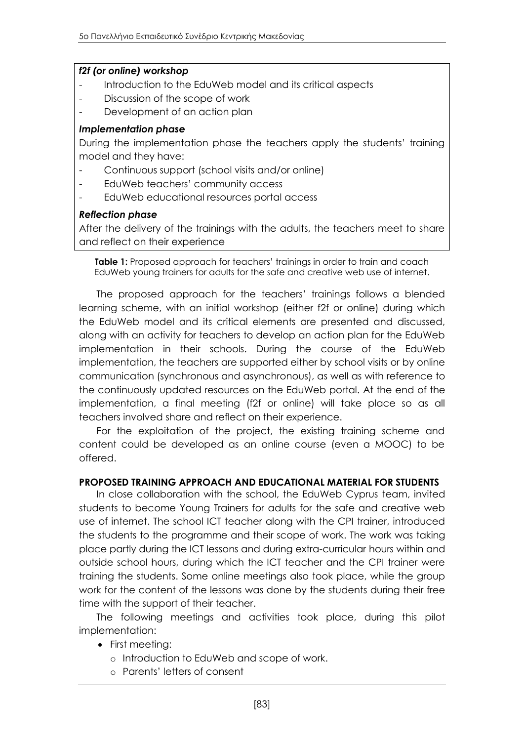#### *f2f (or online) workshop*

- Introduction to the EduWeb model and its critical aspects
- Discussion of the scope of work
- Development of an action plan

#### *Implementation phase*

During the implementation phase the teachers apply the students' training model and they have:

- Continuous support (school visits and/or online)
- EduWeb teachers' community access
- EduWeb educational resources portal access

#### *Reflection phase*

After the delivery of the trainings with the adults, the teachers meet to share and reflect on their experience

**Table 1:** Proposed approach for teachers' trainings in order to train and coach EduWeb young trainers for adults for the safe and creative web use of internet.

The proposed approach for the teachers' trainings follows a blended learning scheme, with an initial workshop (either f2f or online) during which the EduWeb model and its critical elements are presented and discussed, along with an activity for teachers to develop an action plan for the EduWeb implementation in their schools. During the course of the EduWeb implementation, the teachers are supported either by school visits or by online communication (synchronous and asynchronous), as well as with reference to the continuously updated resources on the EduWeb portal. At the end of the implementation, a final meeting (f2f or online) will take place so as all teachers involved share and reflect on their experience.

For the exploitation of the project, the existing training scheme and content could be developed as an online course (even a MOOC) to be offered.

#### **PROPOSED TRAINING APPROACH AND EDUCATIONAL MATERIAL FOR STUDENTS**

In close collaboration with the school, the EduWeb Cyprus team, invited students to become Young Trainers for adults for the safe and creative web use of internet. The school ICT teacher along with the CPI trainer, introduced the students to the programme and their scope of work. The work was taking place partly during the ICT lessons and during extra-curricular hours within and outside school hours, during which the ICT teacher and the CPI trainer were training the students. Some online meetings also took place, while the group work for the content of the lessons was done by the students during their free time with the support of their teacher.

The following meetings and activities took place, during this pilot implementation:

- First meeting:
	- o Introduction to EduWeb and scope of work.
	- o Parents' letters of consent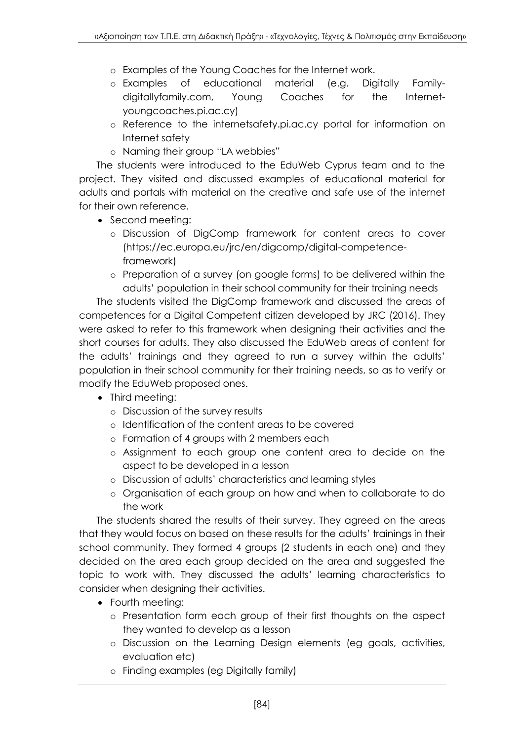- o Examples of the Young Coaches for the Internet work.
- o Examples of educational material (e.g. Digitally Familydigitallyfamily.com, Young Coaches for the Internetyoungcoaches.pi.ac.cy)
- o Reference to the internetsafety.pi.ac.cy portal for information on Internet safety
- o Naming their group "LA webbies"

The students were introduced to the EduWeb Cyprus team and to the project. They visited and discussed examples of educational material for adults and portals with material on the creative and safe use of the internet for their own reference.

- Second meeting:
	- o Discussion of DigComp framework for content areas to cover (https://ec.europa.eu/jrc/en/digcomp/digital-competenceframework)
	- o Preparation of a survey (on google forms) to be delivered within the adults' population in their school community for their training needs

The students visited the DigComp framework and discussed the areas of competences for a Digital Competent citizen developed by JRC (2016). They were asked to refer to this framework when designing their activities and the short courses for adults. They also discussed the EduWeb areas of content for the adults' trainings and they agreed to run a survey within the adults' population in their school community for their training needs, so as to verify or modify the EduWeb proposed ones.

- Third meeting:
	- o Discussion of the survey results
	- o Identification of the content areas to be covered
	- o Formation of 4 groups with 2 members each
	- o Assignment to each group one content area to decide on the aspect to be developed in a lesson
	- o Discussion of adults' characteristics and learning styles
	- o Organisation of each group on how and when to collaborate to do the work

The students shared the results of their survey. They agreed on the areas that they would focus on based on these results for the adults' trainings in their school community. They formed 4 groups (2 students in each one) and they decided on the area each group decided on the area and suggested the topic to work with. They discussed the adults' learning characteristics to consider when designing their activities.

- Fourth meeting:
	- o Presentation form each group of their first thoughts on the aspect they wanted to develop as a lesson
	- o Discussion on the Learning Design elements (eg goals, activities, evaluation etc)
	- o Finding examples (eg Digitally family)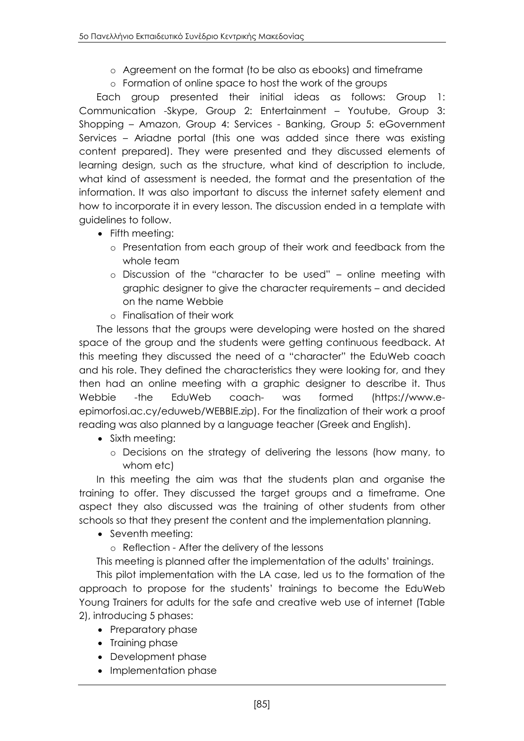- o Agreement on the format (to be also as ebooks) and timeframe
- o Formation of online space to host the work of the groups

Each group presented their initial ideas as follows: Group 1: Communication -Skype, Group 2: Entertainment – Youtube, Group 3: Shopping – Amazon, Group 4: Services - Banking, Group 5: eGovernment Services – Ariadne portal (this one was added since there was existing content prepared). They were presented and they discussed elements of learning design, such as the structure, what kind of description to include, what kind of assessment is needed, the format and the presentation of the information. It was also important to discuss the internet safety element and how to incorporate it in every lesson. The discussion ended in a template with guidelines to follow.

- Fifth meeting:
	- o Presentation from each group of their work and feedback from the whole team
	- o Discussion of the "character to be used" online meeting with graphic designer to give the character requirements – and decided on the name Webbie
	- o Finalisation of their work

The lessons that the groups were developing were hosted on the shared space of the group and the students were getting continuous feedback. At this meeting they discussed the need of a "character" the EduWeb coach and his role. They defined the characteristics they were looking for, and they then had an online meeting with a graphic designer to describe it. Thus Webbie -the EduWeb coach- was formed (https://www.eepimorfosi.ac.cy/eduweb/WEBBIE.zip). For the finalization of their work a proof reading was also planned by a language teacher (Greek and English).

- Sixth meeting:
	- o Decisions on the strategy of delivering the lessons (how many, to whom etc)

In this meeting the aim was that the students plan and organise the training to offer. They discussed the target groups and a timeframe. One aspect they also discussed was the training of other students from other schools so that they present the content and the implementation planning.

• Seventh meeting:

o Reflection - After the delivery of the lessons

This meeting is planned after the implementation of the adults' trainings.

This pilot implementation with the LA case, led us to the formation of the approach to propose for the students' trainings to become the EduWeb Young Trainers for adults for the safe and creative web use of internet (Table 2), introducing 5 phases:

- Preparatory phase
- Training phase
- Development phase
- Implementation phase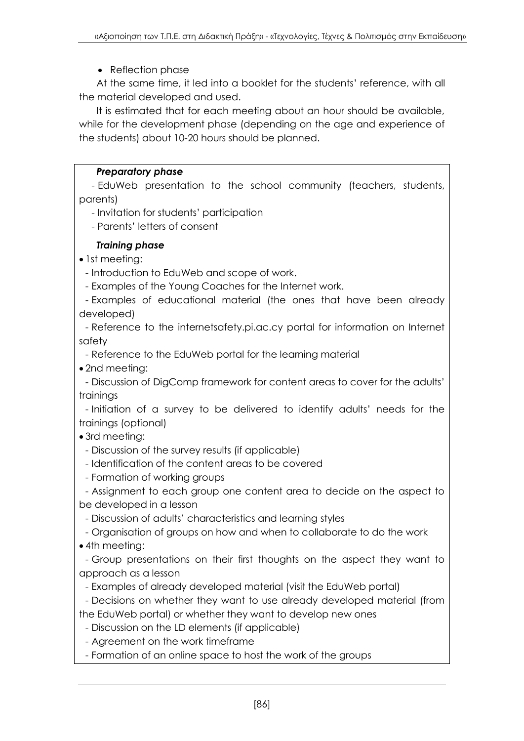## • Reflection phase

At the same time, it led into a booklet for the students' reference, with all the material developed and used.

It is estimated that for each meeting about an hour should be available, while for the development phase (depending on the age and experience of the students) about 10-20 hours should be planned.

### *Preparatory phase*

- EduWeb presentation to the school community (teachers, students, parents)

- Invitation for students' participation

- Parents' letters of consent

## *Training phase*

• 1st meeting:

- Introduction to EduWeb and scope of work.

- Examples of the Young Coaches for the Internet work.

- Examples of educational material (the ones that have been already developed)

- Reference to the internetsafety.pi.ac.cy portal for information on Internet safety

- Reference to the EduWeb portal for the learning material

• 2nd meeting:

- Discussion of DigComp framework for content areas to cover for the adults' trainings

- Initiation of a survey to be delivered to identify adults' needs for the trainings (optional)

3rd meeting:

- Discussion of the survey results (if applicable)

- Identification of the content areas to be covered
- Formation of working groups

- Assignment to each group one content area to decide on the aspect to be developed in a lesson

- Discussion of adults' characteristics and learning styles

- Organisation of groups on how and when to collaborate to do the work 4th meeting:

- Group presentations on their first thoughts on the aspect they want to approach as a lesson

- Examples of already developed material (visit the EduWeb portal)

- Decisions on whether they want to use already developed material (from the EduWeb portal) or whether they want to develop new ones

- Discussion on the LD elements (if applicable)

- Agreement on the work timeframe

- Formation of an online space to host the work of the groups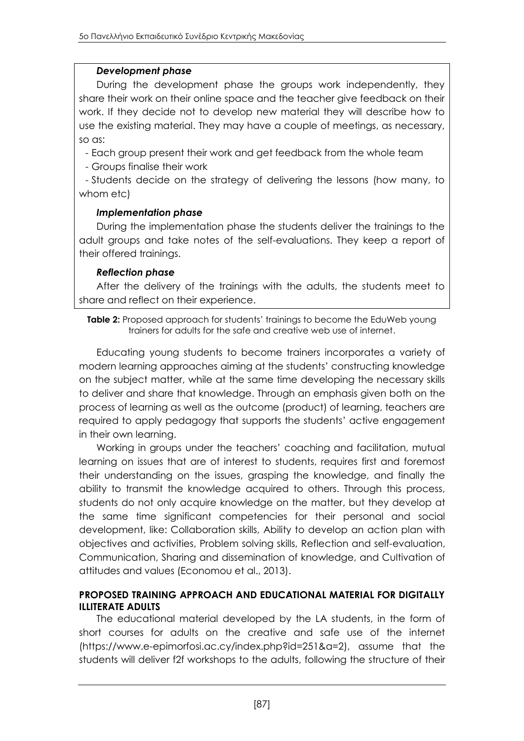#### *Development phase*

During the development phase the groups work independently, they share their work on their online space and the teacher give feedback on their work. If they decide not to develop new material they will describe how to use the existing material. They may have a couple of meetings, as necessary, so as:

- Each group present their work and get feedback from the whole team

- Groups finalise their work

- Students decide on the strategy of delivering the lessons (how many, to whom etc)

### *Implementation phase*

During the implementation phase the students deliver the trainings to the adult groups and take notes of the self-evaluations. They keep a report of their offered trainings.

#### *Reflection phase*

After the delivery of the trainings with the adults, the students meet to share and reflect on their experience.

**Table 2:** Proposed approach for students' trainings to become the EduWeb young trainers for adults for the safe and creative web use of internet.

Educating young students to become trainers incorporates a variety of modern learning approaches aiming at the students' constructing knowledge on the subject matter, while at the same time developing the necessary skills to deliver and share that knowledge. Through an emphasis given both on the process of learning as well as the outcome (product) of learning, teachers are required to apply pedagogy that supports the students' active engagement in their own learning.

Working in groups under the teachers' coaching and facilitation, mutual learning on issues that are of interest to students, requires first and foremost their understanding on the issues, grasping the knowledge, and finally the ability to transmit the knowledge acquired to others. Through this process, students do not only acquire knowledge on the matter, but they develop at the same time significant competencies for their personal and social development, like: Collaboration skills, Ability to develop an action plan with objectives and activities, Problem solving skills, Reflection and self-evaluation, Communication, Sharing and dissemination of knowledge, and Cultivation of attitudes and values (Economou et al., 2013).

#### **PROPOSED TRAINING APPROACH AND EDUCATIONAL MATERIAL FOR DIGITALLY ILLITERATE ADULTS**

The educational material developed by the LA students, in the form of short courses for adults on the creative and safe use of the internet (https://www.e-epimorfosi.ac.cy/index.php?id=251&a=2), assume that the students will deliver f2f workshops to the adults, following the structure of their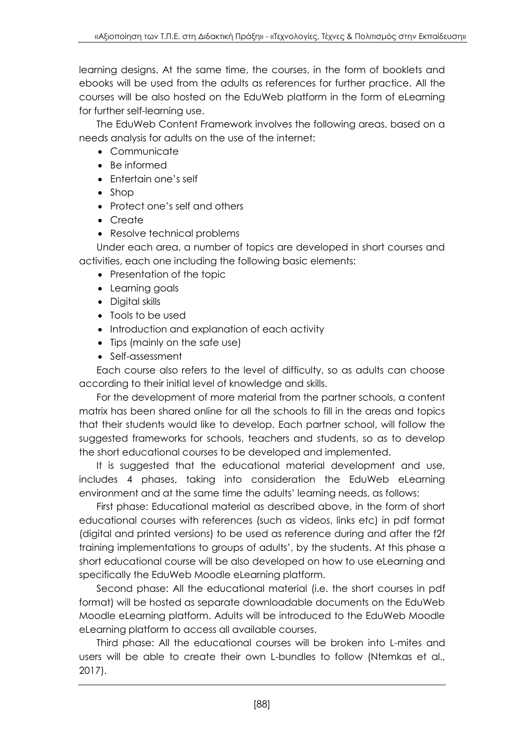learning designs. At the same time, the courses, in the form of booklets and ebooks will be used from the adults as references for further practice. All the courses will be also hosted on the EduWeb platform in the form of eLearning for further self-learning use.

The EduWeb Content Framework involves the following areas, based on a needs analysis for adults on the use of the internet:

- Communicate
- Be informed
- Entertain one's self
- Shop
- Protect one's self and others
- Create
- Resolve technical problems

Under each area, a number of topics are developed in short courses and activities, each one including the following basic elements:

- Presentation of the topic
- Learning goals
- Digital skills
- Tools to be used
- Introduction and explanation of each activity
- Tips (mainly on the safe use)
- Self-assessment

Each course also refers to the level of difficulty, so as adults can choose according to their initial level of knowledge and skills.

For the development of more material from the partner schools, a content matrix has been shared online for all the schools to fill in the areas and topics that their students would like to develop. Each partner school, will follow the suggested frameworks for schools, teachers and students, so as to develop the short educational courses to be developed and implemented.

It is suggested that the educational material development and use, includes 4 phases, taking into consideration the EduWeb eLearning environment and at the same time the adults' learning needs, as follows:

First phase: Educational material as described above, in the form of short educational courses with references (such as videos, links etc) in pdf format (digital and printed versions) to be used as reference during and after the f2f training implementations to groups of adults', by the students. At this phase a short educational course will be also developed on how to use eLearning and specifically the EduWeb Moodle eLearning platform.

Second phase: All the educational material (i.e. the short courses in pdf format) will be hosted as separate downloadable documents on the EduWeb Moodle eLearning platform. Adults will be introduced to the EduWeb Moodle eLearning platform to access all available courses.

Third phase: All the educational courses will be broken into L-mites and users will be able to create their own L-bundles to follow (Ntemkas et al., 2017).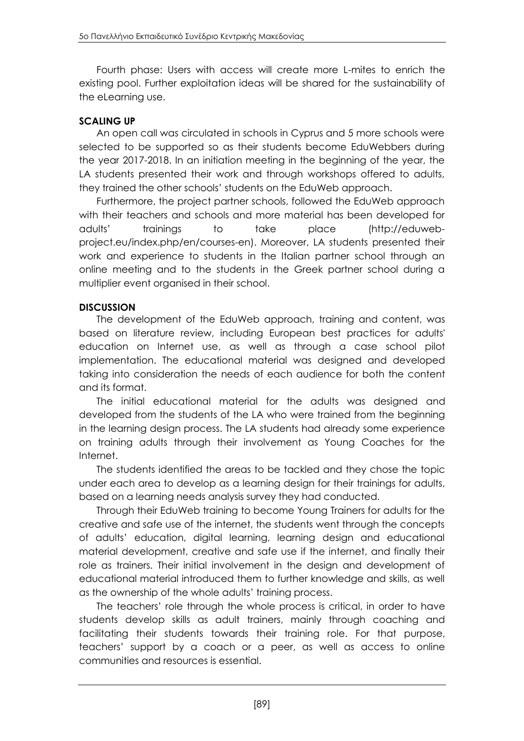Fourth phase: Users with access will create more L-mites to enrich the existing pool. Further exploitation ideas will be shared for the sustainability of the eLearning use.

## **SCALING UP**

An open call was circulated in schools in Cyprus and 5 more schools were selected to be supported so as their students become EduWebbers during the year 2017-2018. In an initiation meeting in the beginning of the year, the LA students presented their work and through workshops offered to adults, they trained the other schools' students on the EduWeb approach.

Furthermore, the project partner schools, followed the EduWeb approach with their teachers and schools and more material has been developed for adults' trainings to take place (http://eduwebproject.eu/index.php/en/courses-en). Moreover, LA students presented their work and experience to students in the Italian partner school through an online meeting and to the students in the Greek partner school during a multiplier event organised in their school.

## **DISCUSSION**

The development of the EduWeb approach, training and content, was based on literature review, including European best practices for adults' education on Internet use, as well as through a case school pilot implementation. The educational material was designed and developed taking into consideration the needs of each audience for both the content and its format.

The initial educational material for the adults was designed and developed from the students of the LA who were trained from the beginning in the learning design process. The LA students had already some experience on training adults through their involvement as Young Coaches for the Internet.

The students identified the areas to be tackled and they chose the topic under each area to develop as a learning design for their trainings for adults, based on a learning needs analysis survey they had conducted.

Through their EduWeb training to become Young Trainers for adults for the creative and safe use of the internet, the students went through the concepts of adults' education, digital learning, learning design and educational material development, creative and safe use if the internet, and finally their role as trainers. Their initial involvement in the design and development of educational material introduced them to further knowledge and skills, as well as the ownership of the whole adults' training process.

The teachers' role through the whole process is critical, in order to have students develop skills as adult trainers, mainly through coaching and facilitating their students towards their training role. For that purpose, teachers' support by a coach or a peer, as well as access to online communities and resources is essential.